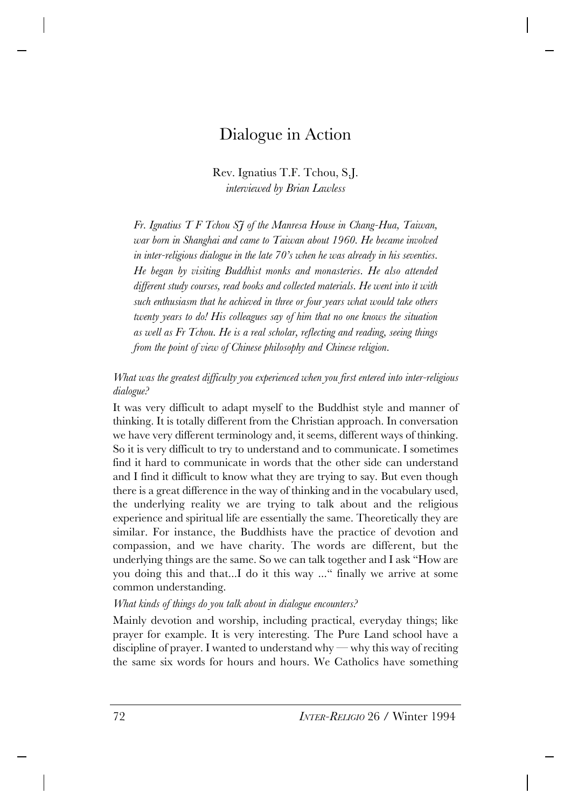# Dialogue in Action

Rev. Ignatius T.F. Tchou, S.J. *interviewed by Brian Lawless*

*Fr. Ignatius T F Tchou SJ of the Manresa House in Chang-Hua, Taiwan, war born in Shanghai and came to Taiwan about 1960. He became involved in inter-religious dialogue in the late 70's when he was already in his seventies. He began by visiting Buddhist monks and monasteries. He also attended different study courses, read books and collected materials. He went into it with such enthusiasm that he achieved in three or four years what would take others twenty years to do! His colleagues say of him that no one knows the situation as well as Fr Tchou. He is a real scholar, reflecting and reading, seeing things from the point of view of Chinese philosophy and Chinese religion.*

*What was the greatest difficulty you experienced when you first entered into inter-religious dialogue?*

It was very difficult to adapt myself to the Buddhist style and manner of thinking. It is totally different from the Christian approach. In conversation we have very different terminology and, it seems, different ways of thinking. So it is very difficult to try to understand and to communicate. I sometimes find it hard to communicate in words that the other side can understand and I find it difficult to know what they are trying to say. But even though there is a great difference in the way of thinking and in the vocabulary used, the underlying reality we are trying to talk about and the religious experience and spiritual life are essentially the same. Theoretically they are similar. For instance, the Buddhists have the practice of devotion and compassion, and we have charity. The words are different, but the underlying things are the same. So we can talk together and I ask "How are you doing this and that...I do it this way ..." finally we arrive at some common understanding.

*What kinds of things do you talk about in dialogue encounters?*

Mainly devotion and worship, including practical, everyday things; like prayer for example. It is very interesting. The Pure Land school have a discipline of prayer. I wanted to understand why — why this way of reciting the same six words for hours and hours. We Catholics have something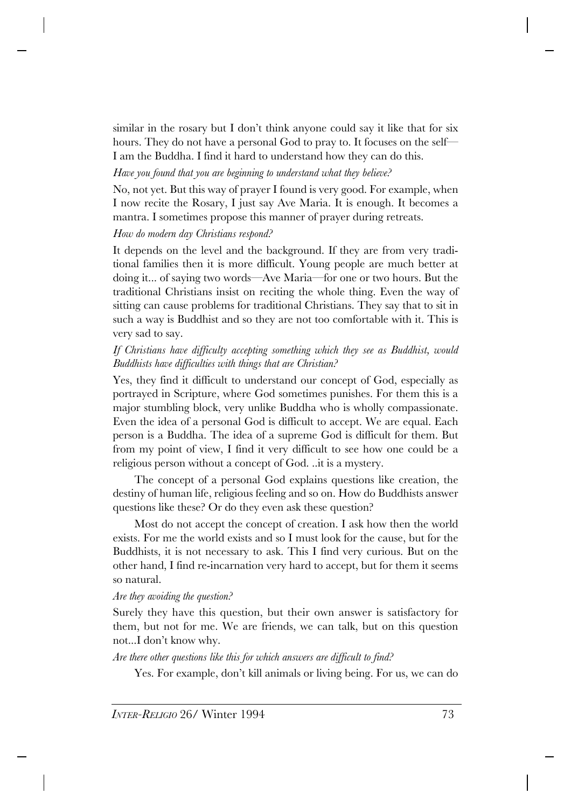similar in the rosary but I don't think anyone could say it like that for six hours. They do not have a personal God to pray to. It focuses on the self-I am the Buddha. I find it hard to understand how they can do this.

# *Have you found that you are beginning to understand what they believe?*

No, not yet. But this way of prayer I found is very good. For example, when I now recite the Rosary, I just say Ave Maria. It is enough. It becomes a mantra. I sometimes propose this manner of prayer during retreats.

# *How do modern day Christians respond?*

It depends on the level and the background. If they are from very traditional families then it is more difficult. Young people are much better at doing it... of saying two words—Ave Maria—for one or two hours. But the traditional Christians insist on reciting the whole thing. Even the way of sitting can cause problems for traditional Christians. They say that to sit in such a way is Buddhist and so they are not too comfortable with it. This is very sad to say.

## *If Christians have difficulty accepting something which they see as Buddhist, would Buddhists have difficulties with things that are Christian?*

Yes, they find it difficult to understand our concept of God, especially as portrayed in Scripture, where God sometimes punishes. For them this is a major stumbling block, very unlike Buddha who is wholly compassionate. Even the idea of a personal God is difficult to accept. We are equal. Each person is a Buddha. The idea of a supreme God is difficult for them. But from my point of view, I find it very difficult to see how one could be a religious person without a concept of God. ..it is a mystery.

The concept of a personal God explains questions like creation, the destiny of human life, religious feeling and so on. How do Buddhists answer questions like these? Or do they even ask these question?

Most do not accept the concept of creation. I ask how then the world exists. For me the world exists and so I must look for the cause, but for the Buddhists, it is not necessary to ask. This I find very curious. But on the other hand, I find re-incarnation very hard to accept, but for them it seems so natural.

# *Are they avoiding the question?*

Surely they have this question, but their own answer is satisfactory for them, but not for me. We are friends, we can talk, but on this question not...I don't know why.

# *Are there other questions like this for which answers are difficult to find?*

Yes. For example, don't kill animals or living being. For us, we can do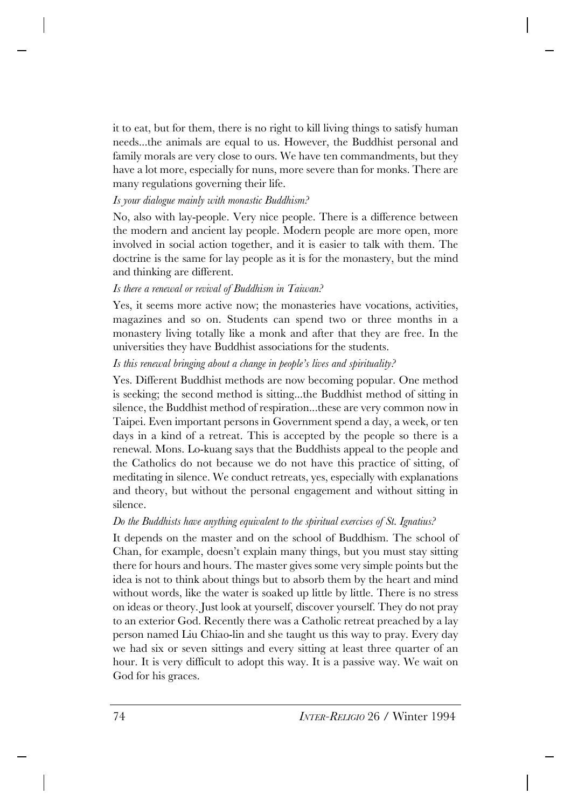it to eat, but for them, there is no right to kill living things to satisfy human needs...the animals are equal to us. However, the Buddhist personal and family morals are very close to ours. We have ten commandments, but they have a lot more, especially for nuns, more severe than for monks. There are many regulations governing their life.

# *Is your dialogue mainly with monastic Buddhism?*

No, also with lay-people. Very nice people. There is a difference between the modern and ancient lay people. Modern people are more open, more involved in social action together, and it is easier to talk with them. The doctrine is the same for lay people as it is for the monastery, but the mind and thinking are different.

# *Is there a renewal or revival of Buddhism in Taiwan?*

Yes, it seems more active now; the monasteries have vocations, activities, magazines and so on. Students can spend two or three months in a monastery living totally like a monk and after that they are free. In the universities they have Buddhist associations for the students.

# *Is this renewal bringing about a change in people's lives and spirituality?*

Yes. Different Buddhist methods are now becoming popular. One method is seeking; the second method is sitting...the Buddhist method of sitting in silence, the Buddhist method of respiration...these are very common now in Taipei. Even important persons in Government spend a day, a week, or ten days in a kind of a retreat. This is accepted by the people so there is a renewal. Mons. Lo-kuang says that the Buddhists appeal to the people and the Catholics do not because we do not have this practice of sitting, of meditating in silence. We conduct retreats, yes, especially with explanations and theory, but without the personal engagement and without sitting in silence.

# *Do the Buddhists have anything equivalent to the spiritual exercises of St. Ignatius?*

It depends on the master and on the school of Buddhism. The school of Chan, for example, doesn't explain many things, but you must stay sitting there for hours and hours. The master gives some very simple points but the idea is not to think about things but to absorb them by the heart and mind without words, like the water is soaked up little by little. There is no stress on ideas or theory. Just look at yourself, discover yourself. They do not pray to an exterior God. Recently there was a Catholic retreat preached by a lay person named Liu Chiao-lin and she taught us this way to pray. Every day we had six or seven sittings and every sitting at least three quarter of an hour. It is very difficult to adopt this way. It is a passive way. We wait on God for his graces.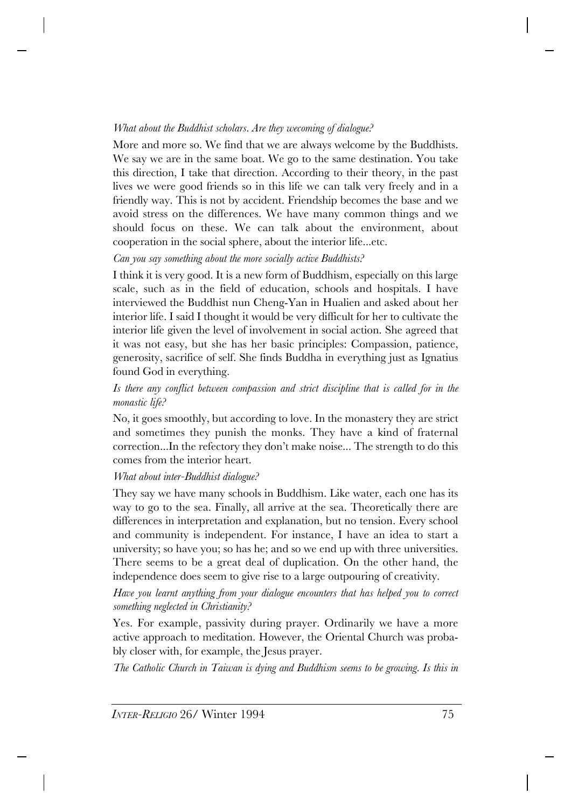# *What about the Buddhist scholars. Are they wecoming of dialogue?*

More and more so. We find that we are always welcome by the Buddhists. We say we are in the same boat. We go to the same destination. You take this direction, I take that direction. According to their theory, in the past lives we were good friends so in this life we can talk very freely and in a friendly way. This is not by accident. Friendship becomes the base and we avoid stress on the differences. We have many common things and we should focus on these. We can talk about the environment, about cooperation in the social sphere, about the interior life...etc.

## *Can you say something about the more socially active Buddhists?*

I think it is very good. It is a new form of Buddhism, especially on this large scale, such as in the field of education, schools and hospitals. I have interviewed the Buddhist nun Cheng-Yan in Hualien and asked about her interior life. I said I thought it would be very difficult for her to cultivate the interior life given the level of involvement in social action. She agreed that it was not easy, but she has her basic principles: Compassion, patience, generosity, sacrifice of self. She finds Buddha in everything just as Ignatius found God in everything.

# *Is there any conflict between compassion and strict discipline that is called for in the monastic life?*

No, it goes smoothly, but according to love. In the monastery they are strict and sometimes they punish the monks. They have a kind of fraternal correction...In the refectory they don't make noise... The strength to do this comes from the interior heart.

# *What about inter-Buddhist dialogue?*

They say we have many schools in Buddhism. Like water, each one has its way to go to the sea. Finally, all arrive at the sea. Theoretically there are differences in interpretation and explanation, but no tension. Every school and community is independent. For instance, I have an idea to start a university; so have you; so has he; and so we end up with three universities. There seems to be a great deal of duplication. On the other hand, the independence does seem to give rise to a large outpouring of creativity.

*Have you learnt anything from your dialogue encounters that has helped you to correct something neglected in Christianity?*

Yes. For example, passivity during prayer. Ordinarily we have a more active approach to meditation. However, the Oriental Church was probably closer with, for example, the Jesus prayer.

*The Catholic Church in Taiwan is dying and Buddhism seems to be growing. Is this in*